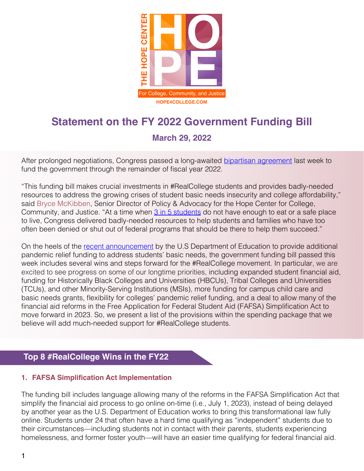

# **Statement on the FY 2022 Government Funding Bill**

# **March 29, 2022**

After prolonged negotiations, Congress passed a long-awaited [bipartisan agreement](https://appropriations.house.gov/news/press-releases/delauro-introduces-government-funding-legislation) last week to fund the government through the remainder of fiscal year 2022.

"This funding bill makes crucial investments in #RealCollege students and provides badly-needed resources to address the growing crises of student basic needs insecurity and college affordability," said Bryce McKibben, Senior Director of Policy & Advocacy for the Hope Center for College, Community, and Justice. "At a time when [3 in 5 students](https://hope4college.com/rc2021-bni-during-the-ongoing-pandemic/) do not have enough to eat or a safe place to live, Congress delivered badly-needed resources to help students and families who have too often been denied or shut out of federal programs that should be there to help them succeed."

On the heels of the [recent announcement](https://hope4college.com/the-hope-center-is-thrilled-by-biden-administrations-new-funding-to-support-student-basic-needs/) by the U.S Department of Education to provide additional pandemic relief funding to address students' basic needs, the government funding bill passed this week includes several wins and steps forward for the #RealCollege movement. In particular, we are excited to see progress on some of our longtime priorities, including expanded student financial aid, funding for Historically Black Colleges and Universities (HBCUs), Tribal Colleges and Universities (TCUs), and other Minority-Serving Institutions (MSIs), more funding for campus child care and basic needs grants, flexibility for colleges' pandemic relief funding, and a deal to allow many of the financial aid reforms in the Free Application for Federal Student Aid (FAFSA) Simplification Act to move forward in 2023. So, we present a list of the provisions within the spending package that we believe will add much-needed support for #RealCollege students.

## **Top 8 #RealCollege Wins in the FY22**

## **1. FAFSA Simplification Act Implementation**

The funding bill includes language allowing many of the reforms in the FAFSA Simplification Act that simplify the financial aid process to go online on-time (i.e., July 1, 2023), instead of being delayed by another year as the U.S. Department of Education works to bring this transformational law fully online. Students under 24 that often have a hard time qualifying as "independent" students due to their circumstances—including students not in contact with their parents, students experiencing homelessness, and former foster youth—will have an easier time qualifying for federal financial aid.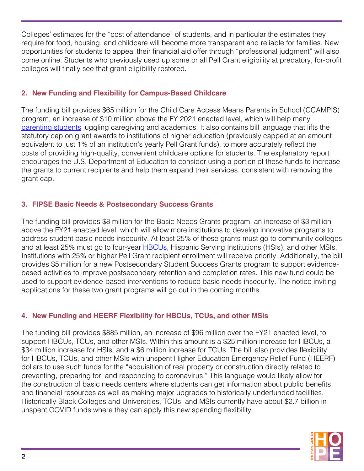Colleges' estimates for the "cost of attendance" of students, and in particular the estimates they require for food, housing, and childcare will become more transparent and reliable for families. New opportunities for students to appeal their financial aid offer through "professional judgment" will also come online. Students who previously used up some or all Pell Grant eligibility at predatory, for-profit colleges will finally see that grant eligibility restored.

## **2. New Funding and Flexibility for Campus-Based Childcare**

The funding bill provides \$65 million for the Child Care Access Means Parents in School (CCAMPIS) program, an increase of \$10 million above the FY 2021 enacted level, which will help many [parenting students](https://hope4college.com/parenting-while-in-college-racial-disparities-in-basic-needs-insecurity-during-the-pandemic/) juggling caregiving and academics. It also contains bill language that lifts the statutory cap on grant awards to institutions of higher education (previously capped at an amount equivalent to just 1% of an institution's yearly Pell Grant funds), to more accurately reflect the costs of providing high-quality, convenient childcare options for students. The explanatory report encourages the U.S. Department of Education to consider using a portion of these funds to increase the grants to current recipients and help them expand their services, consistent with removing the grant cap.

## **3. FIPSE Basic Needs & Postsecondary Success Grants**

The funding bill provides \$8 million for the Basic Needs Grants program, an increase of \$3 million above the FY21 enacted level, which will allow more institutions to develop innovative programs to address student basic needs insecurity. At least 25% of these grants must go to community colleges and at least 25% must go to four-year **HBCUs**, Hispanic Serving Institutions (HSIs), and other MSIs. Institutions with 25% or higher Pell Grant recipient enrollment will receive priority. Additionally, the bill provides \$5 million for a new Postsecondary Student Success Grants program to support evidencebased activities to improve postsecondary retention and completion rates. This new fund could be used to support evidence-based interventions to reduce basic needs insecurity. The notice inviting applications for these two grant programs will go out in the coming months.

## **4. New Funding and HEERF Flexibility for HBCUs, TCUs, and other MSIs**

The funding bill provides \$885 million, an increase of \$96 million over the FY21 enacted level, to support HBCUs, TCUs, and other MSIs. Within this amount is a \$25 million increase for HBCUs, a \$34 million increase for HSIs, and a \$6 million increase for TCUs. The bill also provides flexibility for HBCUs, TCUs, and other MSIs with unspent Higher Education Emergency Relief Fund (HEERF) dollars to use such funds for the "acquisition of real property or construction directly related to preventing, preparing for, and responding to coronavirus." This language would likely allow for the construction of basic needs centers where students can get information about public benefits and financial resources as well as making major upgrades to historically underfunded facilities. Historically Black Colleges and Universities, TCUs, and MSIs currently have about \$2.7 billion in unspent COVID funds where they can apply this new spending flexibility.

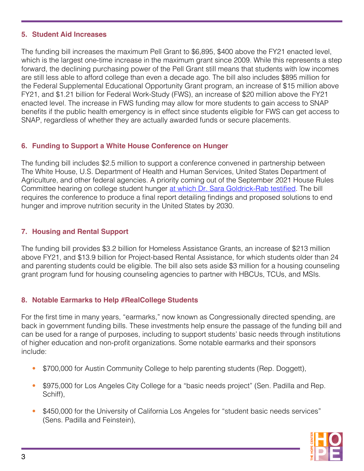#### **5. Student Aid Increases**

The funding bill increases the maximum Pell Grant to \$6,895, \$400 above the FY21 enacted level, which is the largest one-time increase in the maximum grant since 2009. While this represents a step forward, the declining purchasing power of the Pell Grant still means that students with low incomes are still less able to afford college than even a decade ago. The bill also includes \$895 million for the Federal Supplemental Educational Opportunity Grant program, an increase of \$15 million above FY21, and \$1.21 billion for Federal Work-Study (FWS), an increase of \$20 million above the FY21 enacted level. The increase in FWS funding may allow for more students to gain access to SNAP benefits if the public health emergency is in effect since students eligible for FWS can get access to SNAP, regardless of whether they are actually awarded funds or secure placements.

## **6. Funding to Support a White House Conference on Hunger**

The funding bill includes \$2.5 million to support a conference convened in partnership between The White House, U.S. Department of Health and Human Services, United States Department of Agriculture, and other federal agencies. A priority coming out of the September 2021 House Rules Committee hearing on college student hunger [at which Dr. Sara Goldrick-Rab testified](https://hope4college.com/full-text-of-dr-sara-goldrick-rabs-testimony/). The bill requires the conference to produce a final report detailing findings and proposed solutions to end hunger and improve nutrition security in the United States by 2030.

## **7. Housing and Rental Support**

The funding bill provides \$3.2 billion for Homeless Assistance Grants, an increase of \$213 million above FY21, and \$13.9 billion for Project-based Rental Assistance, for which students older than 24 and parenting students could be eligible. The bill also sets aside \$3 million for a housing counseling grant program fund for housing counseling agencies to partner with HBCUs, TCUs, and MSIs.

## **8. Notable Earmarks to Help #RealCollege Students**

For the first time in many years, "earmarks," now known as Congressionally directed spending, are back in government funding bills. These investments help ensure the passage of the funding bill and can be used for a range of purposes, including to support students' basic needs through institutions of higher education and non-profit organizations. Some notable earmarks and their sponsors include:

- \$700,000 for Austin Community College to help parenting students (Rep. Doggett),
- \$975,000 for Los Angeles City College for a "basic needs project" (Sen. Padilla and Rep. Schiff),
- \$450,000 for the University of California Los Angeles for "student basic needs services" (Sens. Padilla and Feinstein),